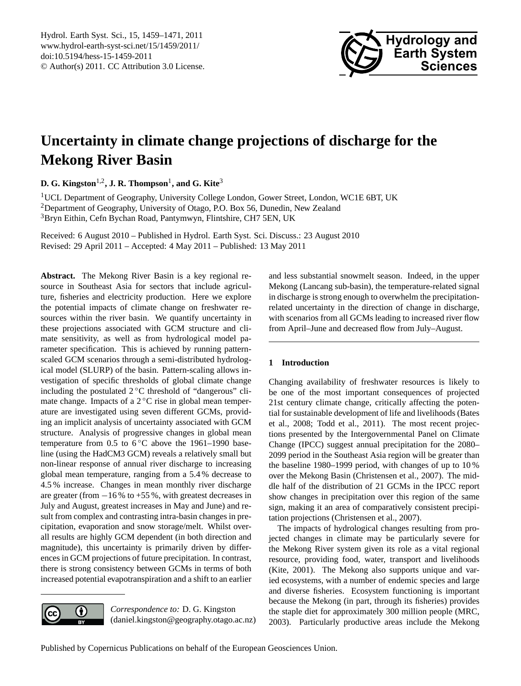

# <span id="page-0-0"></span>**Uncertainty in climate change projections of discharge for the Mekong River Basin**

**D. G. Kingston**1,2**, J. R. Thompson**<sup>1</sup> **, and G. Kite**<sup>3</sup>

<sup>1</sup>UCL Department of Geography, University College London, Gower Street, London, WC1E 6BT, UK <sup>2</sup>Department of Geography, University of Otago, P.O. Box 56, Dunedin, New Zealand <sup>3</sup>Bryn Eithin, Cefn Bychan Road, Pantymwyn, Flintshire, CH7 5EN, UK

Received: 6 August 2010 – Published in Hydrol. Earth Syst. Sci. Discuss.: 23 August 2010 Revised: 29 April 2011 – Accepted: 4 May 2011 – Published: 13 May 2011

**Abstract.** The Mekong River Basin is a key regional resource in Southeast Asia for sectors that include agriculture, fisheries and electricity production. Here we explore the potential impacts of climate change on freshwater resources within the river basin. We quantify uncertainty in these projections associated with GCM structure and climate sensitivity, as well as from hydrological model parameter specification. This is achieved by running patternscaled GCM scenarios through a semi-distributed hydrological model (SLURP) of the basin. Pattern-scaling allows investigation of specific thresholds of global climate change including the postulated  $2^{\circ}$ C threshold of "dangerous" climate change. Impacts of a  $2^{\circ}$ C rise in global mean temperature are investigated using seven different GCMs, providing an implicit analysis of uncertainty associated with GCM structure. Analysis of progressive changes in global mean temperature from 0.5 to  $6^{\circ}$ C above the 1961–1990 baseline (using the HadCM3 GCM) reveals a relatively small but non-linear response of annual river discharge to increasing global mean temperature, ranging from a 5.4 % decrease to 4.5 % increase. Changes in mean monthly river discharge are greater (from  $-16\%$  to  $+55\%$ , with greatest decreases in July and August, greatest increases in May and June) and result from complex and contrasting intra-basin changes in precipitation, evaporation and snow storage/melt. Whilst overall results are highly GCM dependent (in both direction and magnitude), this uncertainty is primarily driven by differences in GCM projections of future precipitation. In contrast, there is strong consistency between GCMs in terms of both increased potential evapotranspiration and a shift to an earlier



*Correspondence to:* D. G. Kingston (daniel.kingston@geography.otago.ac.nz)

and less substantial snowmelt season. Indeed, in the upper Mekong (Lancang sub-basin), the temperature-related signal in discharge is strong enough to overwhelm the precipitationrelated uncertainty in the direction of change in discharge, with scenarios from all GCMs leading to increased river flow from April–June and decreased flow from July–August.

# **1 Introduction**

Changing availability of freshwater resources is likely to be one of the most important consequences of projected 21st century climate change, critically affecting the potential for sustainable development of life and livelihoods (Bates et al., 2008; Todd et al., 2011). The most recent projections presented by the Intergovernmental Panel on Climate Change (IPCC) suggest annual precipitation for the 2080– 2099 period in the Southeast Asia region will be greater than the baseline 1980–1999 period, with changes of up to 10 % over the Mekong Basin (Christensen et al., 2007). The middle half of the distribution of 21 GCMs in the IPCC report show changes in precipitation over this region of the same sign, making it an area of comparatively consistent precipitation projections (Christensen et al., 2007).

The impacts of hydrological changes resulting from projected changes in climate may be particularly severe for the Mekong River system given its role as a vital regional resource, providing food, water, transport and livelihoods (Kite, 2001). The Mekong also supports unique and varied ecosystems, with a number of endemic species and large and diverse fisheries. Ecosystem functioning is important because the Mekong (in part, through its fisheries) provides the staple diet for approximately 300 million people (MRC, 2003). Particularly productive areas include the Mekong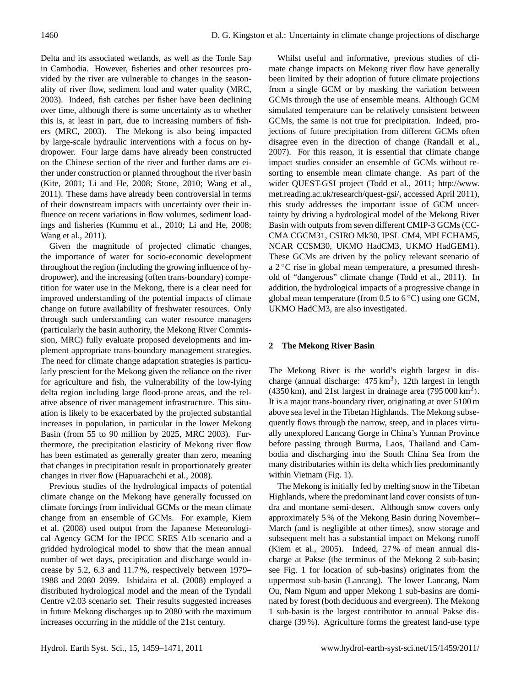Delta and its associated wetlands, as well as the Tonle Sap in Cambodia. However, fisheries and other resources provided by the river are vulnerable to changes in the seasonality of river flow, sediment load and water quality (MRC, 2003). Indeed, fish catches per fisher have been declining over time, although there is some uncertainty as to whether this is, at least in part, due to increasing numbers of fishers (MRC, 2003). The Mekong is also being impacted by large-scale hydraulic interventions with a focus on hydropower. Four large dams have already been constructed on the Chinese section of the river and further dams are either under construction or planned throughout the river basin (Kite, 2001; Li and He, 2008; Stone, 2010; Wang et al., 2011). These dams have already been controversial in terms of their downstream impacts with uncertainty over their influence on recent variations in flow volumes, sediment loadings and fisheries (Kummu et al., 2010; Li and He, 2008; Wang et al., 2011).

Given the magnitude of projected climatic changes, the importance of water for socio-economic development throughout the region (including the growing influence of hydropower), and the increasing (often trans-boundary) competition for water use in the Mekong, there is a clear need for improved understanding of the potential impacts of climate change on future availability of freshwater resources. Only through such understanding can water resource managers (particularly the basin authority, the Mekong River Commission, MRC) fully evaluate proposed developments and implement appropriate trans-boundary management strategies. The need for climate change adaptation strategies is particularly prescient for the Mekong given the reliance on the river for agriculture and fish, the vulnerability of the low-lying delta region including large flood-prone areas, and the relative absence of river management infrastructure. This situation is likely to be exacerbated by the projected substantial increases in population, in particular in the lower Mekong Basin (from 55 to 90 million by 2025, MRC 2003). Furthermore, the precipitation elasticity of Mekong river flow has been estimated as generally greater than zero, meaning that changes in precipitation result in proportionately greater changes in river flow (Hapuarachchi et al., 2008).

Previous studies of the hydrological impacts of potential climate change on the Mekong have generally focussed on climate forcings from individual GCMs or the mean climate change from an ensemble of GCMs. For example, Kiem et al. (2008) used output from the Japanese Meteorological Agency GCM for the IPCC SRES A1b scenario and a gridded hydrological model to show that the mean annual number of wet days, precipitation and discharge would increase by 5.2, 6.3 and 11.7 %, respectively between 1979– 1988 and 2080–2099. Ishidaira et al. (2008) employed a distributed hydrological model and the mean of the Tyndall Centre v2.03 scenario set. Their results suggested increases in future Mekong discharges up to 2080 with the maximum increases occurring in the middle of the 21st century.

Whilst useful and informative, previous studies of climate change impacts on Mekong river flow have generally been limited by their adoption of future climate projections from a single GCM or by masking the variation between GCMs through the use of ensemble means. Although GCM simulated temperature can be relatively consistent between GCMs, the same is not true for precipitation. Indeed, projections of future precipitation from different GCMs often disagree even in the direction of change (Randall et al., 2007). For this reason, it is essential that climate change impact studies consider an ensemble of GCMs without resorting to ensemble mean climate change. As part of the wider QUEST-GSI project (Todd et al., 2011; [http://www.](http://www.met.reading.ac.uk/research/quest-gsi/) [met.reading.ac.uk/research/quest-gsi/,](http://www.met.reading.ac.uk/research/quest-gsi/) accessed April 2011), this study addresses the important issue of GCM uncertainty by driving a hydrological model of the Mekong River Basin with outputs from seven different CMIP-3 GCMs (CC-CMA CGCM31, CSIRO Mk30, IPSL CM4, MPI ECHAM5, NCAR CCSM30, UKMO HadCM3, UKMO HadGEM1). These GCMs are driven by the policy relevant scenario of a 2 °C rise in global mean temperature, a presumed threshold of "dangerous" climate change (Todd et al., 2011). In addition, the hydrological impacts of a progressive change in global mean temperature (from  $0.5$  to  $6^{\circ}$ C) using one GCM, UKMO HadCM3, are also investigated.

# **2 The Mekong River Basin**

The Mekong River is the world's eighth largest in discharge (annual discharge:  $475 \text{ km}^3$ ), 12th largest in length  $(4350 \text{ km})$ , and 21st largest in drainage area  $(795000 \text{ km}^2)$ . It is a major trans-boundary river, originating at over 5100 m above sea level in the Tibetan Highlands. The Mekong subsequently flows through the narrow, steep, and in places virtually unexplored Lancang Gorge in China's Yunnan Province before passing through Burma, Laos, Thailand and Cambodia and discharging into the South China Sea from the many distributaries within its delta which lies predominantly within Vietnam (Fig. 1).

The Mekong is initially fed by melting snow in the Tibetan Highlands, where the predominant land cover consists of tundra and montane semi-desert. Although snow covers only approximately 5 % of the Mekong Basin during November– March (and is negligible at other times), snow storage and subsequent melt has a substantial impact on Mekong runoff (Kiem et al., 2005). Indeed, 27 % of mean annual discharge at Pakse (the terminus of the Mekong 2 sub-basin; see Fig. 1 for location of sub-basins) originates from the uppermost sub-basin (Lancang). The lower Lancang, Nam Ou, Nam Ngum and upper Mekong 1 sub-basins are dominated by forest (both deciduous and evergreen). The Mekong 1 sub-basin is the largest contributor to annual Pakse discharge (39 %). Agriculture forms the greatest land-use type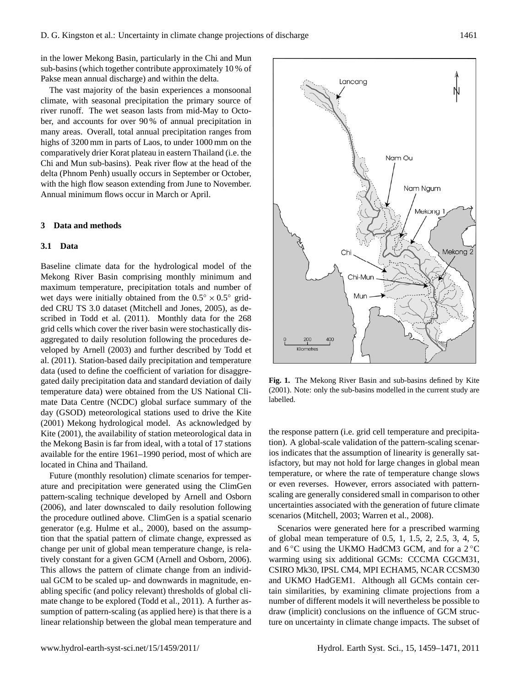in the lower Mekong Basin, particularly in the Chi and Mun sub-basins (which together contribute approximately 10 % of Pakse mean annual discharge) and within the delta.

The vast majority of the basin experiences a monsoonal climate, with seasonal precipitation the primary source of river runoff. The wet season lasts from mid-May to October, and accounts for over 90 % of annual precipitation in many areas. Overall, total annual precipitation ranges from highs of 3200 mm in parts of Laos, to under 1000 mm on the comparatively drier Korat plateau in eastern Thailand (i.e. the Chi and Mun sub-basins). Peak river flow at the head of the delta (Phnom Penh) usually occurs in September or October, with the high flow season extending from June to November. Annual minimum flows occur in March or April.

#### **3 Data and methods**

## **3.1 Data**

Baseline climate data for the hydrological model of the Mekong River Basin comprising monthly minimum and maximum temperature, precipitation totals and number of wet days were initially obtained from the  $0.5° \times 0.5°$  gridded CRU TS 3.0 dataset (Mitchell and Jones, 2005), as described in Todd et al. (2011). Monthly data for the 268 grid cells which cover the river basin were stochastically disaggregated to daily resolution following the procedures developed by Arnell (2003) and further described by Todd et al. (2011). Station-based daily precipitation and temperature data (used to define the coefficient of variation for disaggregated daily precipitation data and standard deviation of daily temperature data) were obtained from the US National Climate Data Centre (NCDC) global surface summary of the day (GSOD) meteorological stations used to drive the Kite (2001) Mekong hydrological model. As acknowledged by Kite (2001), the availability of station meteorological data in the Mekong Basin is far from ideal, with a total of 17 stations available for the entire 1961–1990 period, most of which are located in China and Thailand.

Future (monthly resolution) climate scenarios for temperature and precipitation were generated using the ClimGen pattern-scaling technique developed by Arnell and Osborn (2006), and later downscaled to daily resolution following the procedure outlined above. ClimGen is a spatial scenario generator (e.g. Hulme et al., 2000), based on the assumption that the spatial pattern of climate change, expressed as change per unit of global mean temperature change, is relatively constant for a given GCM (Arnell and Osborn, 2006). This allows the pattern of climate change from an individual GCM to be scaled up- and downwards in magnitude, enabling specific (and policy relevant) thresholds of global climate change to be explored (Todd et al., 2011). A further assumption of pattern-scaling (as applied here) is that there is a linear relationship between the global mean temperature and



**Fig. 1.** The Mekong River Basin and sub-basins defined by Kite (2001). Note: only the sub-basins modelled in the current study are labelled.

the response pattern (i.e. grid cell temperature and precipitation). A global-scale validation of the pattern-scaling scenarios indicates that the assumption of linearity is generally satisfactory, but may not hold for large changes in global mean temperature, or where the rate of temperature change slows or even reverses. However, errors associated with patternscaling are generally considered small in comparison to other uncertainties associated with the generation of future climate scenarios (Mitchell, 2003; Warren et al., 2008).

Scenarios were generated here for a prescribed warming of global mean temperature of 0.5, 1, 1.5, 2, 2.5, 3, 4, 5, and  $6^{\circ}$ C using the UKMO HadCM3 GCM, and for a  $2^{\circ}$ C warming using six additional GCMs: CCCMA CGCM31, CSIRO Mk30, IPSL CM4, MPI ECHAM5, NCAR CCSM30 and UKMO HadGEM1. Although all GCMs contain certain similarities, by examining climate projections from a number of different models it will nevertheless be possible to draw (implicit) conclusions on the influence of GCM structure on uncertainty in climate change impacts. The subset of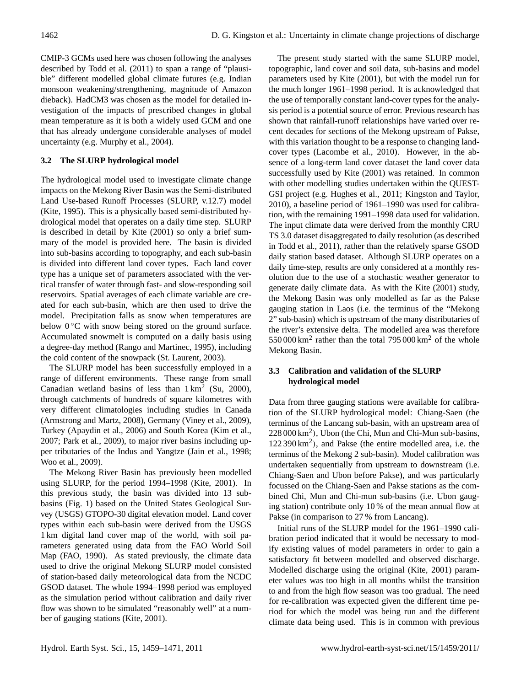CMIP-3 GCMs used here was chosen following the analyses described by Todd et al. (2011) to span a range of "plausible" different modelled global climate futures (e.g. Indian monsoon weakening/strengthening, magnitude of Amazon dieback). HadCM3 was chosen as the model for detailed investigation of the impacts of prescribed changes in global mean temperature as it is both a widely used GCM and one that has already undergone considerable analyses of model uncertainty (e.g. Murphy et al., 2004).

# **3.2 The SLURP hydrological model**

The hydrological model used to investigate climate change impacts on the Mekong River Basin was the Semi-distributed Land Use-based Runoff Processes (SLURP, v.12.7) model (Kite, 1995). This is a physically based semi-distributed hydrological model that operates on a daily time step. SLURP is described in detail by Kite (2001) so only a brief summary of the model is provided here. The basin is divided into sub-basins according to topography, and each sub-basin is divided into different land cover types. Each land cover type has a unique set of parameters associated with the vertical transfer of water through fast- and slow-responding soil reservoirs. Spatial averages of each climate variable are created for each sub-basin, which are then used to drive the model. Precipitation falls as snow when temperatures are below  $0^{\circ}$ C with snow being stored on the ground surface. Accumulated snowmelt is computed on a daily basis using a degree-day method (Rango and Martinec, 1995), including the cold content of the snowpack (St. Laurent, 2003).

The SLURP model has been successfully employed in a range of different environments. These range from small Canadian wetland basins of less than  $1 \text{ km}^2$  (Su, 2000), through catchments of hundreds of square kilometres with very different climatologies including studies in Canada (Armstrong and Martz, 2008), Germany (Viney et al., 2009), Turkey (Apaydin et al., 2006) and South Korea (Kim et al., 2007; Park et al., 2009), to major river basins including upper tributaries of the Indus and Yangtze (Jain et al., 1998; Woo et al., 2009).

The Mekong River Basin has previously been modelled using SLURP, for the period 1994–1998 (Kite, 2001). In this previous study, the basin was divided into 13 subbasins (Fig. 1) based on the United States Geological Survey (USGS) GTOPO-30 digital elevation model. Land cover types within each sub-basin were derived from the USGS 1 km digital land cover map of the world, with soil parameters generated using data from the FAO World Soil Map (FAO, 1990). As stated previously, the climate data used to drive the original Mekong SLURP model consisted of station-based daily meteorological data from the NCDC GSOD dataset. The whole 1994–1998 period was employed as the simulation period without calibration and daily river flow was shown to be simulated "reasonably well" at a number of gauging stations (Kite, 2001).

The present study started with the same SLURP model, topographic, land cover and soil data, sub-basins and model parameters used by Kite (2001), but with the model run for the much longer 1961–1998 period. It is acknowledged that the use of temporally constant land-cover types for the analysis period is a potential source of error. Previous research has shown that rainfall-runoff relationships have varied over recent decades for sections of the Mekong upstream of Pakse, with this variation thought to be a response to changing landcover types (Lacombe et al., 2010). However, in the absence of a long-term land cover dataset the land cover data successfully used by Kite (2001) was retained. In common with other modelling studies undertaken within the QUEST-GSI project (e.g. Hughes et al., 2011; Kingston and Taylor, 2010), a baseline period of 1961–1990 was used for calibration, with the remaining 1991–1998 data used for validation. The input climate data were derived from the monthly CRU TS 3.0 dataset disaggregated to daily resolution (as described in Todd et al., 2011), rather than the relatively sparse GSOD daily station based dataset. Although SLURP operates on a daily time-step, results are only considered at a monthly resolution due to the use of a stochastic weather generator to generate daily climate data. As with the Kite (2001) study, the Mekong Basin was only modelled as far as the Pakse gauging station in Laos (i.e. the terminus of the "Mekong 2" sub-basin) which is upstream of the many distributaries of the river's extensive delta. The modelled area was therefore  $550000 \text{ km}^2$  rather than the total 795 000 km<sup>2</sup> of the whole Mekong Basin.

# **3.3 Calibration and validation of the SLURP hydrological model**

Data from three gauging stations were available for calibration of the SLURP hydrological model: Chiang-Saen (the terminus of the Lancang sub-basin, with an upstream area of  $228000 \text{ km}^2$ ), Ubon (the Chi, Mun and Chi-Mun sub-basins, 122 390 km<sup>2</sup> ), and Pakse (the entire modelled area, i.e. the terminus of the Mekong 2 sub-basin). Model calibration was undertaken sequentially from upstream to downstream (i.e. Chiang-Saen and Ubon before Pakse), and was particularly focussed on the Chiang-Saen and Pakse stations as the combined Chi, Mun and Chi-mun sub-basins (i.e. Ubon gauging station) contribute only 10 % of the mean annual flow at Pakse (in comparison to 27 % from Lancang).

Initial runs of the SLURP model for the 1961–1990 calibration period indicated that it would be necessary to modify existing values of model parameters in order to gain a satisfactory fit between modelled and observed discharge. Modelled discharge using the original (Kite, 2001) parameter values was too high in all months whilst the transition to and from the high flow season was too gradual. The need for re-calibration was expected given the different time period for which the model was being run and the different climate data being used. This is in common with previous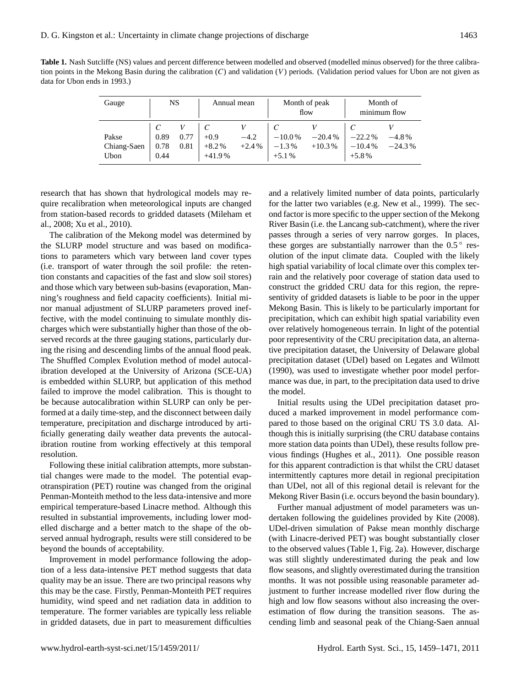| Gauge                        | <b>NS</b>            |              | Annual mean                   |                   | Month of peak<br>flow            |                      | Month of<br>minimum flow        |                      |
|------------------------------|----------------------|--------------|-------------------------------|-------------------|----------------------------------|----------------------|---------------------------------|----------------------|
| Pakse<br>Chiang-Saen<br>Ubon | 0.89<br>0.78<br>0.44 | 0.77<br>0.81 | $+0.9$<br>$+8.2%$<br>$+41.9%$ | $-4.2$<br>$+2.4%$ | $-10.0\%$<br>$-1.3\%$<br>$+5.1%$ | $-20.4%$<br>$+10.3%$ | $-22.2%$<br>$-10.4%$<br>$+5.8%$ | $-4.8\%$<br>$-24.3%$ |

research that has shown that hydrological models may require recalibration when meteorological inputs are changed from station-based records to gridded datasets (Mileham et al., 2008; Xu et al., 2010).

The calibration of the Mekong model was determined by the SLURP model structure and was based on modifications to parameters which vary between land cover types (i.e. transport of water through the soil profile: the retention constants and capacities of the fast and slow soil stores) and those which vary between sub-basins (evaporation, Manning's roughness and field capacity coefficients). Initial minor manual adjustment of SLURP parameters proved ineffective, with the model continuing to simulate monthly discharges which were substantially higher than those of the observed records at the three gauging stations, particularly during the rising and descending limbs of the annual flood peak. The Shuffled Complex Evolution method of model autocalibration developed at the University of Arizona (SCE-UA) is embedded within SLURP, but application of this method failed to improve the model calibration. This is thought to be because autocalibration within SLURP can only be performed at a daily time-step, and the disconnect between daily temperature, precipitation and discharge introduced by artificially generating daily weather data prevents the autocalibration routine from working effectively at this temporal resolution.

Following these initial calibration attempts, more substantial changes were made to the model. The potential evapotranspiration (PET) routine was changed from the original Penman-Monteith method to the less data-intensive and more empirical temperature-based Linacre method. Although this resulted in substantial improvements, including lower modelled discharge and a better match to the shape of the observed annual hydrograph, results were still considered to be beyond the bounds of acceptability.

Improvement in model performance following the adoption of a less data-intensive PET method suggests that data quality may be an issue. There are two principal reasons why this may be the case. Firstly, Penman-Monteith PET requires humidity, wind speed and net radiation data in addition to temperature. The former variables are typically less reliable in gridded datasets, due in part to measurement difficulties and a relatively limited number of data points, particularly for the latter two variables (e.g. New et al., 1999). The second factor is more specific to the upper section of the Mekong River Basin (i.e. the Lancang sub-catchment), where the river passes through a series of very narrow gorges. In places, these gorges are substantially narrower than the  $0.5^{\circ}$  resolution of the input climate data. Coupled with the likely high spatial variability of local climate over this complex terrain and the relatively poor coverage of station data used to construct the gridded CRU data for this region, the representivity of gridded datasets is liable to be poor in the upper Mekong Basin. This is likely to be particularly important for precipitation, which can exhibit high spatial variability even over relatively homogeneous terrain. In light of the potential poor representivity of the CRU precipitation data, an alternative precipitation dataset, the University of Delaware global precipitation dataset (UDel) based on Legates and Wilmott (1990), was used to investigate whether poor model performance was due, in part, to the precipitation data used to drive the model.

Initial results using the UDel precipitation dataset produced a marked improvement in model performance compared to those based on the original CRU TS 3.0 data. Although this is initially surprising (the CRU database contains more station data points than UDel), these results follow previous findings (Hughes et al., 2011). One possible reason for this apparent contradiction is that whilst the CRU dataset intermittently captures more detail in regional precipitation than UDel, not all of this regional detail is relevant for the Mekong River Basin (i.e. occurs beyond the basin boundary).

Further manual adjustment of model parameters was undertaken following the guidelines provided by Kite (2008). UDel-driven simulation of Pakse mean monthly discharge (with Linacre-derived PET) was bought substantially closer to the observed values (Table 1, Fig. 2a). However, discharge was still slightly underestimated during the peak and low flow seasons, and slightly overestimated during the transition months. It was not possible using reasonable parameter adjustment to further increase modelled river flow during the high and low flow seasons without also increasing the overestimation of flow during the transition seasons. The ascending limb and seasonal peak of the Chiang-Saen annual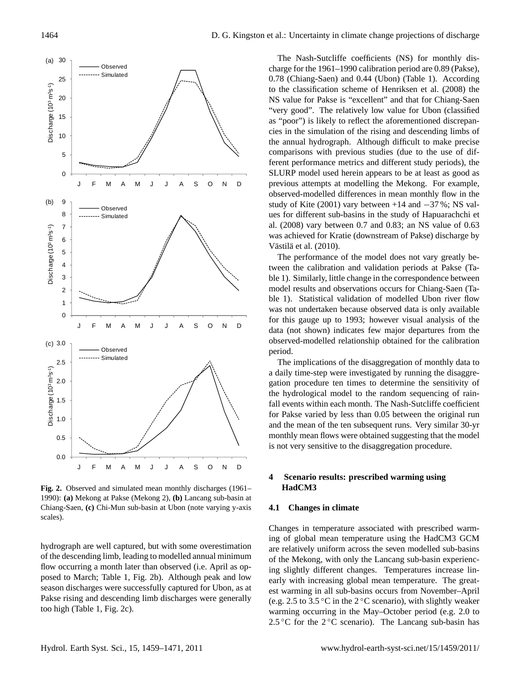

**Fig. 2.** Observed and simulated mean monthly discharges (1961– 1990): **(a)** Mekong at Pakse (Mekong 2), **(b)** Lancang sub-basin at Chiang-Saen, **(c)** Chi-Mun sub-basin at Ubon (note varying y-axis scales).

hydrograph are well captured, but with some overestimation of the descending limb, leading to modelled annual minimum flow occurring a month later than observed (i.e. April as opposed to March; Table 1, Fig. 2b). Although peak and low season discharges were successfully captured for Ubon, as at Pakse rising and descending limb discharges were generally too high (Table 1, Fig. 2c).

The Nash-Sutcliffe coefficients (NS) for monthly discharge for the 1961–1990 calibration period are 0.89 (Pakse), 0.78 (Chiang-Saen) and 0.44 (Ubon) (Table 1). According to the classification scheme of Henriksen et al. (2008) the NS value for Pakse is "excellent" and that for Chiang-Saen "very good". The relatively low value for Ubon (classified as "poor") is likely to reflect the aforementioned discrepancies in the simulation of the rising and descending limbs of the annual hydrograph. Although difficult to make precise comparisons with previous studies (due to the use of different performance metrics and different study periods), the SLURP model used herein appears to be at least as good as previous attempts at modelling the Mekong. For example, observed-modelled differences in mean monthly flow in the study of Kite (2001) vary between +14 and −37 %; NS values for different sub-basins in the study of Hapuarachchi et al. (2008) vary between 0.7 and 0.83; an NS value of 0.63 was achieved for Kratie (downstream of Pakse) discharge by Västilä et al. (2010).

The performance of the model does not vary greatly between the calibration and validation periods at Pakse (Table 1). Similarly, little change in the correspondence between model results and observations occurs for Chiang-Saen (Table 1). Statistical validation of modelled Ubon river flow was not undertaken because observed data is only available for this gauge up to 1993; however visual analysis of the data (not shown) indicates few major departures from the observed-modelled relationship obtained for the calibration period.

The implications of the disaggregation of monthly data to a daily time-step were investigated by running the disaggregation procedure ten times to determine the sensitivity of the hydrological model to the random sequencing of rainfall events within each month. The Nash-Sutcliffe coefficient for Pakse varied by less than 0.05 between the original run and the mean of the ten subsequent runs. Very similar 30-yr monthly mean flows were obtained suggesting that the model is not very sensitive to the disaggregation procedure.

# **4 Scenario results: prescribed warming using HadCM3**

# **4.1 Changes in climate**

est warming in all sub-basins occurs from November-April Changes in temperature associated with prescribed warming of global mean temperature using the HadCM3 GCM are relatively uniform across the seven modelled sub-basins of the Mekong, with only the Lancang sub-basin experiencing slightly different changes. Temperatures increase linearly with increasing global mean temperature. The great-(e.g. 2.5 to 3.5 °C in the  $2^{\circ}$ C scenario), with slightly weaker warming occurring in the May–October period (e.g. 2.0 to 2.5 °C for the  $2^{\circ}$ C scenario). The Lancang sub-basin has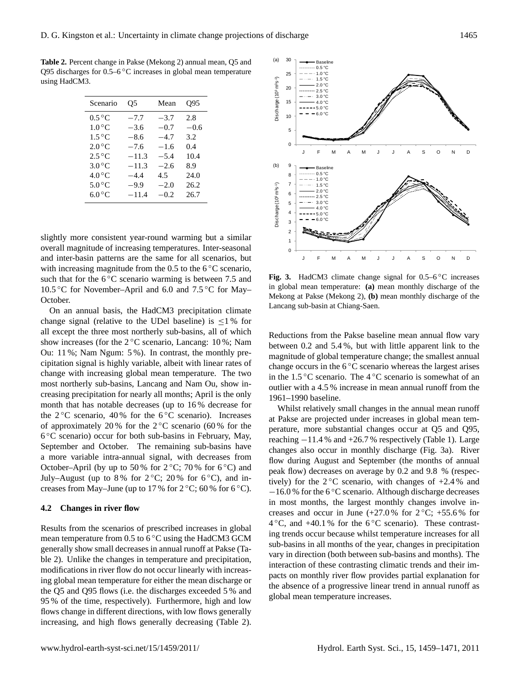**Table 2.** Percent change in Pakse (Mekong 2) annual mean, Q5 and Q95 discharges for 0.5–6 ◦C increases in global mean temperature using HadCM3.

| Scenario                  | O5      | Mean   | Q95     |
|---------------------------|---------|--------|---------|
| $0.5\,^{\circ}\mathrm{C}$ | $-7.7$  | $-3.7$ | 2.8     |
| $1.0\,^{\circ}\mathrm{C}$ | $-3.6$  | $-0.7$ | $-0.6$  |
| $1.5^{\circ}$ C           | $-8.6$  | $-4.7$ | 3.2     |
| $2.0\degree C$            | $-7.6$  | $-1.6$ | $0.4\,$ |
| $2.5^{\circ}$ C           | $-11.3$ | $-5.4$ | 10.4    |
| $3.0\degree C$            | $-11.3$ | $-2.6$ | 8.9     |
| $4.0\,^{\circ}\mathrm{C}$ | $-4.4$  | 4.5    | 24.0    |
| $5.0\degree C$            | $-9.9$  | $-2.0$ | 26.2    |
| $6.0\degree$ C            | $-11.4$ | $-0.2$ | 26.7    |

slightly more consistent year-round warming but a similar overall magnitude of increasing temperatures. Inter-seasonal and inter-basin patterns are the same for all scenarios, but with increasing magnitude from the 0.5 to the 6 °C scenario, such that for the  $6^{\circ}$ C scenario warming is between 7.5 and 10.5 °C for November–April and 6.0 and  $7.5$  °C for May– October.

On an annual basis, the HadCM3 precipitation climate change signal (relative to the UDel baseline) is  $\leq$ 1% for all except the three most northerly sub-basins, all of which show increases (for the  $2^{\circ}$ C scenario, Lancang: 10 %; Nam Ou: 11 %; Nam Ngum: 5 %). In contrast, the monthly precipitation signal is highly variable, albeit with linear rates of change with increasing global mean temperature. The two most northerly sub-basins, Lancang and Nam Ou, show increasing precipitation for nearly all months; April is the only month that has notable decreases (up to 16 % decrease for the  $2^{\circ}$ C scenario, 40% for the 6 $^{\circ}$ C scenario). Increases of approximately 20 % for the  $2^{\circ}$ C scenario (60 % for the 6 ◦C scenario) occur for both sub-basins in February, May, September and October. The remaining sub-basins have a more variable intra-annual signal, with decreases from October–April (by up to 50 % for  $2^{\circ}$ C; 70 % for 6 °C) and July–August (up to 8% for  $2^{\circ}C$ ; 20% for 6 $^{\circ}C$ ), and increases from May–June (up to 17 % for  $2 °C$ ; 60 % for 6 °C).

#### **4.2 Changes in river flow**

Results from the scenarios of prescribed increases in global mean temperature from 0.5 to 6 ◦C using the HadCM3 GCM generally show small decreases in annual runoff at Pakse (Table 2). Unlike the changes in temperature and precipitation, modifications in river flow do not occur linearly with increasing global mean temperature for either the mean discharge or the Q5 and Q95 flows (i.e. the discharges exceeded 5 % and 95 % of the time, respectively). Furthermore, high and low flows change in different directions, with low flows generally increasing, and high flows generally decreasing (Table 2).



Fig. 3. HadCM3 climate change signal for 0.5–6 °C increases in global mean temperature: **(a)** mean monthly discharge of the Mekong at Pakse (Mekong 2), **(b)** mean monthly discharge of the Lancang sub-basin at Chiang-Saen.

Reductions from the Pakse baseline mean annual flow vary between 0.2 and 5.4 %, but with little apparent link to the magnitude of global temperature change; the smallest annual change occurs in the  $6^{\circ}$ C scenario whereas the largest arises in the 1.5 ◦C scenario. The 4 ◦C scenario is somewhat of an outlier with a 4.5 % increase in mean annual runoff from the 1961–1990 baseline.

Whilst relatively small changes in the annual mean runoff at Pakse are projected under increases in global mean temperature, more substantial changes occur at Q5 and Q95, reaching −11.4 % and +26.7 % respectively (Table 1). Large changes also occur in monthly discharge (Fig. 3a). River flow during August and September (the months of annual peak flow) decreases on average by 0.2 and 9.8 % (respectively) for the  $2^{\circ}$ C scenario, with changes of  $+2.4\%$  and −16.0 % for the 6 ◦C scenario. Although discharge decreases in most months, the largest monthly changes involve increases and occur in June  $(+27.0\%$  for  $2 °C$ ;  $+55.6\%$  for 4 ◦C, and +40.1 % for the 6 ◦C scenario). These contrasting trends occur because whilst temperature increases for all sub-basins in all months of the year, changes in precipitation vary in direction (both between sub-basins and months). The interaction of these contrasting climatic trends and their impacts on monthly river flow provides partial explanation for the absence of a progressive linear trend in annual runoff as global mean temperature increases.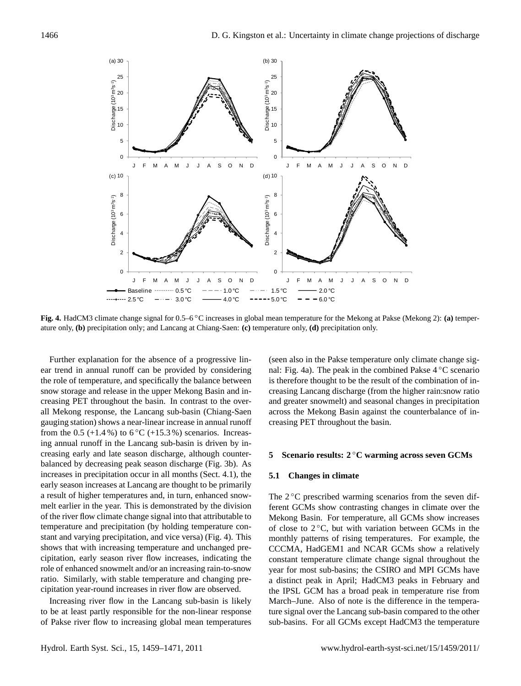

**Fig. 4.** HadCM3 climate change signal for 0.5–6 ◦C increases in global mean temperature for the Mekong at Pakse (Mekong 2): **(a)** temperature only, **(b)** precipitation only; and Lancang at Chiang-Saen: **(c)** temperature only, **(d)** precipitation only.

Further explanation for the absence of a progressive linear trend in annual runoff can be provided by considering the role of temperature, and specifically the balance between snow storage and release in the upper Mekong Basin and increasing PET throughout the basin. In contrast to the overall Mekong response, the Lancang sub-basin (Chiang-Saen gauging station) shows a near-linear increase in annual runoff from the 0.5 (+1.4 %) to 6  $\degree$ C (+15.3 %) scenarios. Increasing annual runoff in the Lancang sub-basin is driven by increasing early and late season discharge, although counterbalanced by decreasing peak season discharge (Fig. 3b). As increases in precipitation occur in all months (Sect. 4.1), the early season increases at Lancang are thought to be primarily a result of higher temperatures and, in turn, enhanced snowmelt earlier in the year. This is demonstrated by the division of the river flow climate change signal into that attributable to temperature and precipitation (by holding temperature constant and varying precipitation, and vice versa) (Fig. 4). This shows that with increasing temperature and unchanged precipitation, early season river flow increases, indicating the role of enhanced snowmelt and/or an increasing rain-to-snow ratio. Similarly, with stable temperature and changing precipitation year-round increases in river flow are observed.

Increasing river flow in the Lancang sub-basin is likely to be at least partly responsible for the non-linear response of Pakse river flow to increasing global mean temperatures (seen also in the Pakse temperature only climate change signal: Fig. 4a). The peak in the combined Pakse  $4^{\circ}$ C scenario is therefore thought to be the result of the combination of increasing Lancang discharge (from the higher rain:snow ratio and greater snowmelt) and seasonal changes in precipitation across the Mekong Basin against the counterbalance of increasing PET throughout the basin.

#### **5 Scenario results: 2** ◦**C warming across seven GCMs**

#### **5.1 Changes in climate**

5 constant temperature climate change signal throughout the The  $2^{\circ}$ C prescribed warming scenarios from the seven different GCMs show contrasting changes in climate over the Mekong Basin. For temperature, all GCMs show increases of close to  $2^{\circ}$ C, but with variation between GCMs in the monthly patterns of rising temperatures. For example, the CCCMA, HadGEM1 and NCAR GCMs show a relatively year for most sub-basins; the CSIRO and MPI GCMs have a distinct peak in April; HadCM3 peaks in February and the IPSL GCM has a broad peak in temperature rise from March–June. Also of note is the difference in the temperature signal over the Lancang sub-basin compared to the other sub-basins. For all GCMs except HadCM3 the temperature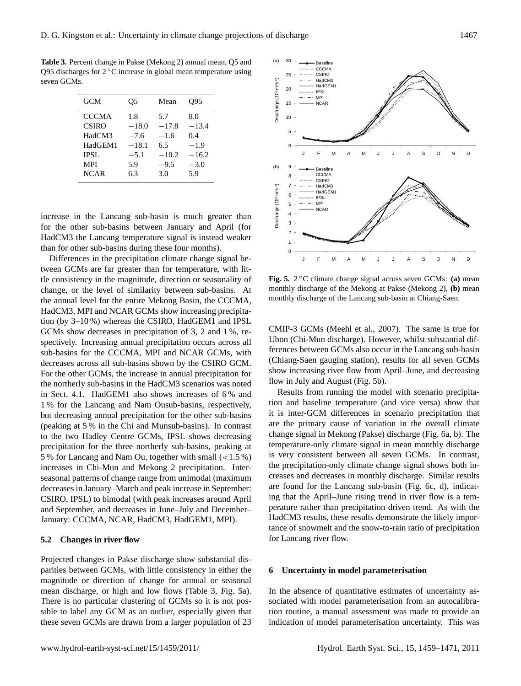**Table 3.** Percent change in Pakse (Mekong 2) annual mean, Q5 and Q95 discharges for 2 °C increase in global mean temperature using seven GCMs.

| <b>GCM</b>   | O5      | Mean    | 095     |
|--------------|---------|---------|---------|
| <b>CCCMA</b> | 1.8     | 5.7     | 8.0     |
| <b>CSIRO</b> | $-18.0$ | $-17.8$ | $-13.4$ |
| HadCM3       | $-7.6$  | $-1.6$  | 0.4     |
| HadGEM1      | $-18.1$ | 6.5     | $-1.9$  |
| <b>IPSL</b>  | $-5.1$  | $-10.2$ | $-16.2$ |
| <b>MPI</b>   | 5.9     | $-9.5$  | $-3.0$  |
| <b>NCAR</b>  | 6.3     | 3.0     | 5.9     |

increase in the Lancang sub-basin is much greater than for the other sub-basins between January and April (for HadCM3 the Lancang temperature signal is instead weaker than for other sub-basins during these four months).

Differences in the precipitation climate change signal between GCMs are far greater than for temperature, with little consistency in the magnitude, direction or seasonality of change, or the level of similarity between sub-basins. At the annual level for the entire Mekong Basin, the CCCMA, HadCM3, MPI and NCAR GCMs show increasing precipitation (by 3–10 %) whereas the CSIRO, HadGEM1 and IPSL GCMs show decreases in precipitation of 3, 2 and 1 %, respectively. Increasing annual precipitation occurs across all sub-basins for the CCCMA, MPI and NCAR GCMs, with decreases across all sub-basins shown by the CSIRO GCM. For the other GCMs, the increase in annual precipitation for the northerly sub-basins in the HadCM3 scenarios was noted in Sect. 4.1. HadGEM1 also shows increases of 6 % and 1 % for the Lancang and Nam Ousub-basins, respectively, but decreasing annual precipitation for the other sub-basins (peaking at 5 % in the Chi and Munsub-basins). In contrast to the two Hadley Centre GCMs, IPSL shows decreasing precipitation for the three northerly sub-basins, peaking at 5 % for Lancang and Nam Ou, together with small (<1.5 %) increases in Chi-Mun and Mekong 2 precipitation. Interseasonal patterns of change range from unimodal (maximum decreases in January–March and peak increase in September: CSIRO, IPSL) to bimodal (with peak increases around April and September, and decreases in June–July and December– January: CCCMA, NCAR, HadCM3, HadGEM1, MPI).

#### **5.2 Changes in river flow**

Projected changes in Pakse discharge show substantial disparities between GCMs, with little consistency in either the magnitude or direction of change for annual or seasonal mean discharge, or high and low flows (Table 3, Fig. 5a). There is no particular clustering of GCMs so it is not possible to label any GCM as an outlier, especially given that these seven GCMs are drawn from a larger population of 23



**Fig. 5.** 2 ◦C climate change signal across seven GCMs: **(a)** mean monthly discharge of the Mekong at Pakse (Mekong 2), **(b)** mean monthly discharge of the Lancang sub-basin at Chiang-Saen.

CMIP-3 GCMs (Meehl et al., 2007). The same is true for Ubon (Chi-Mun discharge). However, whilst substantial differences between GCMs also occur in the Lancang sub-basin (Chiang-Saen gauging station), results for all seven GCMs show increasing river flow from April–June, and decreasing flow in July and August (Fig. 5b).

Results from running the model with scenario precipitation and baseline temperature (and vice versa) show that it is inter-GCM differences in scenario precipitation that are the primary cause of variation in the overall climate change signal in Mekong (Pakse) discharge (Fig. 6a, b). The temperature-only climate signal in mean monthly discharge is very consistent between all seven GCMs. In contrast, the precipitation-only climate change signal shows both increases and decreases in monthly discharge. Similar results are found for the Lancang sub-basin (Fig. 6c, d), indicating that the April–June rising trend in river flow is a temperature rather than precipitation driven trend. As with the HadCM3 results, these results demonstrate the likely importance of snowmelt and the snow-to-rain ratio of precipitation for Lancang river flow.

#### **6 Uncertainty in model parameterisation**

In the absence of quantitative estimates of uncertainty associated with model parameterisation from an autocalibration routine, a manual assessment was made to provide an indication of model parameterisation uncertainty. This was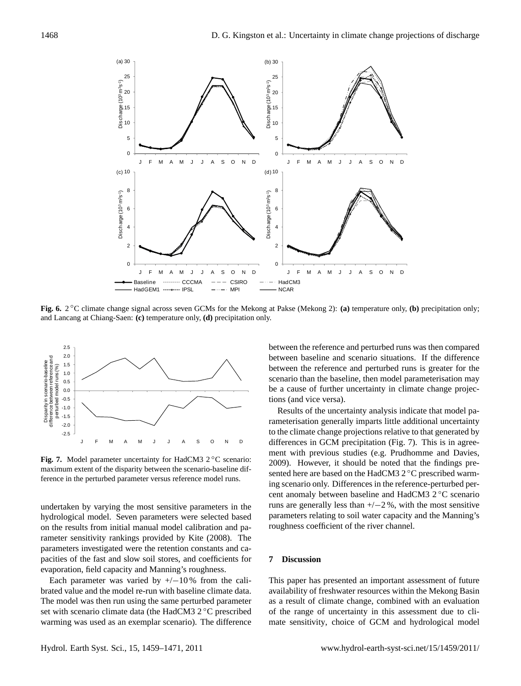

**Fig. 6.** 2 ◦C climate change signal across seven GCMs for the Mekong at Pakse (Mekong 2): **(a)** temperature only, **(b)** precipitation only; and Lancang at Chiang-Saen: **(c)** temperature only, **(d)** precipitation only.



Fig. 7. Model parameter uncertainty for HadCM3 2<sup>°</sup>C scenario: maximum extent of the disparity between the scenario-baseline difference in the perturbed parameter versus reference model runs.

undertaken by varying the most sensitive parameters in the hydrological model. Seven parameters were selected based on the results from initial manual model calibration and parameter sensitivity rankings provided by Kite (2008). The parameters investigated were the retention constants and capacities of the fast and slow soil stores, and coefficients for evaporation, field capacity and Manning's roughness.

Each parameter was varied by  $+/-10\%$  from the calibrated value and the model re-run with baseline climate data. The model was then run using the same perturbed parameter set with scenario climate data (the HadCM3 2 ℃ prescribed warming was used as an exemplar scenario). The difference between the reference and perturbed runs was then compared between baseline and scenario situations. If the difference between the reference and perturbed runs is greater for the scenario than the baseline, then model parameterisation may be a cause of further uncertainty in climate change projections (and vice versa).

parameters relating to soil water capacity and the Manning's Results of the uncertainty analysis indicate that model parameterisation generally imparts little additional uncertainty to the climate change projections relative to that generated by differences in GCM precipitation (Fig. 7). This is in agreement with previous studies (e.g. Prudhomme and Davies, 2009). However, it should be noted that the findings presented here are based on the HadCM3 2 °C prescribed warming scenario only. Differences in the reference-perturbed percent anomaly between baseline and HadCM3 2 ◦C scenario runs are generally less than  $+/-2\%$ , with the most sensitive roughness coefficient of the river channel.

### **7 Discussion**

This paper has presented an important assessment of future availability of freshwater resources within the Mekong Basin as a result of climate change, combined with an evaluation of the range of uncertainty in this assessment due to climate sensitivity, choice of GCM and hydrological model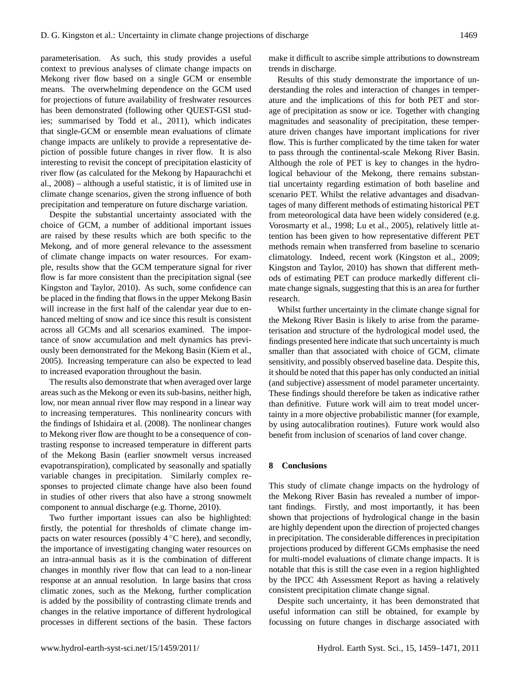parameterisation. As such, this study provides a useful context to previous analyses of climate change impacts on Mekong river flow based on a single GCM or ensemble means. The overwhelming dependence on the GCM used for projections of future availability of freshwater resources has been demonstrated (following other QUEST-GSI studies; summarised by Todd et al., 2011), which indicates that single-GCM or ensemble mean evaluations of climate change impacts are unlikely to provide a representative depiction of possible future changes in river flow. It is also interesting to revisit the concept of precipitation elasticity of river flow (as calculated for the Mekong by Hapaurachchi et al., 2008) – although a useful statistic, it is of limited use in climate change scenarios, given the strong influence of both precipitation and temperature on future discharge variation.

Despite the substantial uncertainty associated with the choice of GCM, a number of additional important issues are raised by these results which are both specific to the Mekong, and of more general relevance to the assessment of climate change impacts on water resources. For example, results show that the GCM temperature signal for river flow is far more consistent than the precipitation signal (see Kingston and Taylor, 2010). As such, some confidence can be placed in the finding that flows in the upper Mekong Basin will increase in the first half of the calendar year due to enhanced melting of snow and ice since this result is consistent across all GCMs and all scenarios examined. The importance of snow accumulation and melt dynamics has previously been demonstrated for the Mekong Basin (Kiem et al., 2005). Increasing temperature can also be expected to lead to increased evaporation throughout the basin.

The results also demonstrate that when averaged over large areas such as the Mekong or even its sub-basins, neither high, low, nor mean annual river flow may respond in a linear way to increasing temperatures. This nonlinearity concurs with the findings of Ishidaira et al. (2008). The nonlinear changes to Mekong river flow are thought to be a consequence of contrasting response to increased temperature in different parts of the Mekong Basin (earlier snowmelt versus increased evapotranspiration), complicated by seasonally and spatially variable changes in precipitation. Similarly complex responses to projected climate change have also been found in studies of other rivers that also have a strong snowmelt component to annual discharge (e.g. Thorne, 2010).

Two further important issues can also be highlighted: firstly, the potential for thresholds of climate change impacts on water resources (possibly  $4^{\circ}$ C here), and secondly, the importance of investigating changing water resources on an intra-annual basis as it is the combination of different changes in monthly river flow that can lead to a non-linear response at an annual resolution. In large basins that cross climatic zones, such as the Mekong, further complication is added by the possibility of contrasting climate trends and changes in the relative importance of different hydrological processes in different sections of the basin. These factors make it difficult to ascribe simple attributions to downstream trends in discharge.

Results of this study demonstrate the importance of understanding the roles and interaction of changes in temperature and the implications of this for both PET and storage of precipitation as snow or ice. Together with changing magnitudes and seasonality of precipitation, these temperature driven changes have important implications for river flow. This is further complicated by the time taken for water to pass through the continental-scale Mekong River Basin. Although the role of PET is key to changes in the hydrological behaviour of the Mekong, there remains substantial uncertainty regarding estimation of both baseline and scenario PET. Whilst the relative advantages and disadvantages of many different methods of estimating historical PET from meteorological data have been widely considered (e.g. Vorosmarty et al., 1998; Lu et al., 2005), relatively little attention has been given to how representative different PET methods remain when transferred from baseline to scenario climatology. Indeed, recent work (Kingston et al., 2009; Kingston and Taylor, 2010) has shown that different methods of estimating PET can produce markedly different climate change signals, suggesting that this is an area for further research.

Whilst further uncertainty in the climate change signal for the Mekong River Basin is likely to arise from the parameterisation and structure of the hydrological model used, the findings presented here indicate that such uncertainty is much smaller than that associated with choice of GCM, climate sensitivity, and possibly observed baseline data. Despite this, it should be noted that this paper has only conducted an initial (and subjective) assessment of model parameter uncertainty. These findings should therefore be taken as indicative rather than definitive. Future work will aim to treat model uncertainty in a more objective probabilistic manner (for example, by using autocalibration routines). Future work would also benefit from inclusion of scenarios of land cover change.

# **8 Conclusions**

This study of climate change impacts on the hydrology of the Mekong River Basin has revealed a number of important findings. Firstly, and most importantly, it has been shown that projections of hydrological change in the basin are highly dependent upon the direction of projected changes in precipitation. The considerable differences in precipitation projections produced by different GCMs emphasise the need for multi-model evaluations of climate change impacts. It is notable that this is still the case even in a region highlighted by the IPCC 4th Assessment Report as having a relatively consistent precipitation climate change signal.

Despite such uncertainty, it has been demonstrated that useful information can still be obtained, for example by focussing on future changes in discharge associated with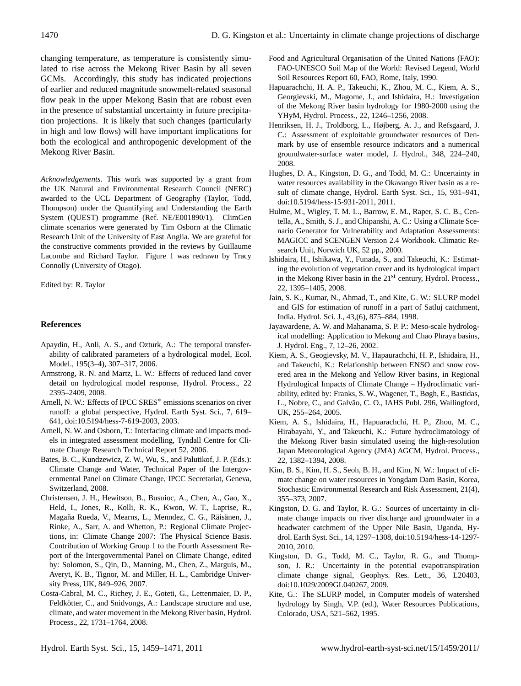changing temperature, as temperature is consistently simulated to rise across the Mekong River Basin by all seven GCMs. Accordingly, this study has indicated projections of earlier and reduced magnitude snowmelt-related seasonal flow peak in the upper Mekong Basin that are robust even in the presence of substantial uncertainty in future precipitation projections. It is likely that such changes (particularly in high and low flows) will have important implications for both the ecological and anthropogenic development of the Mekong River Basin.

*Acknowledgements.* This work was supported by a grant from the UK Natural and Environmental Research Council (NERC) awarded to the UCL Department of Geography (Taylor, Todd, Thompson) under the Quantifying and Understanding the Earth System (QUEST) programme (Ref. NE/E001890/1). ClimGen climate scenarios were generated by Tim Osborn at the Climatic Research Unit of the University of East Anglia. We are grateful for the constructive comments provided in the reviews by Guillaume Lacombe and Richard Taylor. Figure 1 was redrawn by Tracy Connolly (University of Otago).

Edited by: R. Taylor

# **References**

- Apaydin, H., Anli, A. S., and Ozturk, A.: The temporal transferability of calibrated parameters of a hydrological model, Ecol. Model., 195(3–4), 307–317, 2006.
- Armstrong, R. N. and Martz, L. W.: Effects of reduced land cover detail on hydrological model response, Hydrol. Process., 22 2395–2409, 2008.
- Arnell, N. W.: Effects of IPCC SRES<sup>\*</sup> emissions scenarios on river runoff: a global perspective, Hydrol. Earth Syst. Sci., 7, 619– 641, [doi:10.5194/hess-7-619-2003,](http://dx.doi.org/10.5194/hess-7-619-2003) 2003.
- Arnell, N. W. and Osborn, T.: Interfacing climate and impacts models in integrated assessment modelling, Tyndall Centre for Climate Change Research Technical Report 52, 2006.
- Bates, B. C., Kundzewicz, Z. W., Wu, S., and Palutikof, J. P. (Eds.): Climate Change and Water, Technical Paper of the Intergovernmental Panel on Climate Change, IPCC Secretariat, Geneva, Switzerland, 2008.
- Christensen, J. H., Hewitson, B., Busuioc, A., Chen, A., Gao, X., Held, I., Jones, R., Kolli, R. K., Kwon, W. T., Laprise, R., Magaña Rueda, V., Mearns, L., Menndez, C. G., Räisänen, J., Rinke, A., Sarr, A. and Whetton, P.: Regional Climate Projections, in: Climate Change 2007: The Physical Science Basis. Contribution of Working Group 1 to the Fourth Assessment Report of the Intergovernmental Panel on Climate Change, edited by: Solomon, S., Qin, D., Manning, M., Chen, Z., Marguis, M., Averyt, K. B., Tignor, M. and Miller, H. L., Cambridge University Press, UK, 849–926, 2007.
- Costa-Cabral, M. C., Richey, J. E., Goteti, G., Lettenmaier, D. P., Feldkötter, C., and Snidvongs, A.: Landscape structure and use, climate, and water movement in the Mekong River basin, Hydrol. Process., 22, 1731–1764, 2008.
- Food and Agricultural Organisation of the United Nations (FAO): FAO-UNESCO Soil Map of the World: Revised Legend, World Soil Resources Report 60, FAO, Rome, Italy, 1990.
- Hapuarachchi, H. A. P., Takeuchi, K., Zhou, M. C., Kiem, A. S., Georgievski, M., Magome, J., and Ishidaira, H.: Investigation of the Mekong River basin hydrology for 1980-2000 using the YHyM, Hydrol. Process., 22, 1246–1256, 2008.
- Henriksen, H. J., Troldborg, L., Højberg, A. J., and Refsgaard, J. C.: Assessment of exploitable groundwater resources of Denmark by use of ensemble resource indicators and a numerical groundwater-surface water model, J. Hydrol., 348, 224–240, 2008.
- Hughes, D. A., Kingston, D. G., and Todd, M. C.: Uncertainty in water resources availability in the Okavango River basin as a result of climate change, Hydrol. Earth Syst. Sci., 15, 931–941, [doi:10.5194/hess-15-931-2011,](http://dx.doi.org/10.5194/hess-15-931-2011) 2011.
- Hulme, M., Wigley, T. M. L., Barrow, E. M., Raper, S. C. B., Centella, A., Smith, S. J., and Chipanshi, A. C.: Using a Climate Scenario Generator for Vulnerability and Adaptation Assessments: MAGICC and SCENGEN Version 2.4 Workbook. Climatic Research Unit, Norwich UK, 52 pp., 2000.
- Ishidaira, H., Ishikawa, Y., Funada, S., and Takeuchi, K.: Estimating the evolution of vegetation cover and its hydrological impact in the Mekong River basin in the 21<sup>st</sup> century, Hydrol. Process., 22, 1395–1405, 2008.
- Jain, S. K., Kumar, N., Ahmad, T., and Kite, G. W.: SLURP model and GIS for estimation of runoff in a part of Satluj catchment, India. Hydrol. Sci. J., 43,(6), 875–884, 1998.
- Jayawardene, A. W. and Mahanama, S. P. P.: Meso-scale hydrological modelling: Application to Mekong and Chao Phraya basins, J. Hydrol. Eng., 7, 12–26, 2002.
- Kiem, A. S., Geogievsky, M. V., Hapaurachchi, H. P., Ishidaira, H., and Takeuchi, K.: Relationship between ENSO and snow covered area in the Mekong and Yellow River basins, in Regional Hydrological Impacts of Climate Change – Hydroclimatic variability, edited by: Franks, S. W., Wagener, T., Bøgh, E., Bastidas, L., Nobre, C., and Galvão, C. O., IAHS Publ. 296, Wallingford, UK, 255–264, 2005.
- Kiem, A. S., Ishidaira, H., Hapuarachchi, H. P., Zhou, M. C., Hirabayahi, Y., and Takeuchi, K.: Future hydroclimatology of the Mekong River basin simulated useing the high-resolution Japan Meteorological Agency (JMA) AGCM, Hydrol. Process., 22, 1382–1394, 2008.
- Kim, B. S., Kim, H. S., Seoh, B. H., and Kim, N. W.: Impact of climate change on water resources in Yongdam Dam Basin, Korea, Stochastic Environmental Research and Risk Assessment, 21(4), 355–373, 2007.
- Kingston, D. G. and Taylor, R. G.: Sources of uncertainty in climate change impacts on river discharge and groundwater in a headwater catchment of the Upper Nile Basin, Uganda, Hydrol. Earth Syst. Sci., 14, 1297–1308, [doi:10.5194/hess-14-1297-](http://dx.doi.org/10.5194/hess-14-1297-2010) [2010,](http://dx.doi.org/10.5194/hess-14-1297-2010) 2010.
- Kingston, D. G., Todd, M. C., Taylor, R. G., and Thompson, J. R.: Uncertainty in the potential evapotranspiration climate change signal, Geophys. Res. Lett., 36, L20403, [doi:10.1029/2009GL040267,](http://dx.doi.org/10.1029/2009GL040267) 2009.
- Kite, G.: The SLURP model, in Computer models of watershed hydrology by Singh, V.P. (ed.), Water Resources Publications, Colorado, USA, 521–562, 1995.